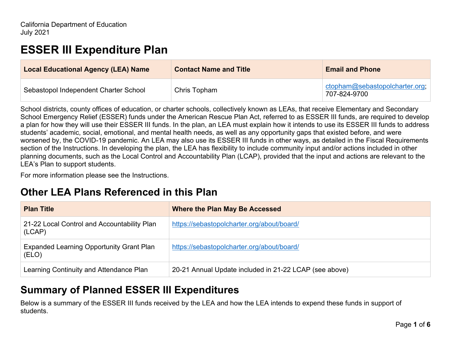# **ESSER III Expenditure Plan**

| <b>Local Educational Agency (LEA) Name</b> | <b>Contact Name and Title</b> | <b>Email and Phone</b>                         |
|--------------------------------------------|-------------------------------|------------------------------------------------|
| Sebastopol Independent Charter School      | Chris Topham                  | ctopham@sebastopolcharter.org;<br>707-824-9700 |

School districts, county offices of education, or charter schools, collectively known as LEAs, that receive Elementary and Secondary School Emergency Relief (ESSER) funds under the American Rescue Plan Act, referred to as ESSER III funds, are required to develop a plan for how they will use their ESSER III funds. In the plan, an LEA must explain how it intends to use its ESSER III funds to address students' academic, social, emotional, and mental health needs, as well as any opportunity gaps that existed before, and were worsened by, the COVID-19 pandemic. An LEA may also use its ESSER III funds in other ways, as detailed in the Fiscal Requirements section of the Instructions. In developing the plan, the LEA has flexibility to include community input and/or actions included in other planning documents, such as the Local Control and Accountability Plan (LCAP), provided that the input and actions are relevant to the LEA's Plan to support students.

For more information please see the Instructions.

### **Other LEA Plans Referenced in this Plan**

| <b>Plan Title</b>                                        | <b>Where the Plan May Be Accessed</b>                  |
|----------------------------------------------------------|--------------------------------------------------------|
| 21-22 Local Control and Accountability Plan<br>(LCAP)    | https://sebastopolcharter.org/about/board/             |
| <b>Expanded Learning Opportunity Grant Plan</b><br>(ELO) | https://sebastopolcharter.org/about/board/             |
| Learning Continuity and Attendance Plan                  | 20-21 Annual Update included in 21-22 LCAP (see above) |

### **Summary of Planned ESSER III Expenditures**

Below is a summary of the ESSER III funds received by the LEA and how the LEA intends to expend these funds in support of students.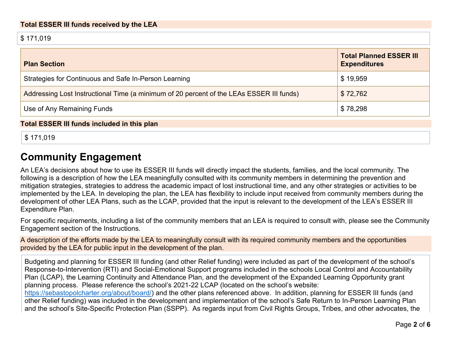\$ 171,019

| <b>Plan Section</b>                                                                      | <b>Total Planned ESSER III</b><br><b>Expenditures</b> |
|------------------------------------------------------------------------------------------|-------------------------------------------------------|
| Strategies for Continuous and Safe In-Person Learning                                    | \$19,959                                              |
| Addressing Lost Instructional Time (a minimum of 20 percent of the LEAs ESSER III funds) | \$72,762                                              |
| Use of Any Remaining Funds                                                               | \$78,298                                              |
| <b>Total ESSER III funds included in this plan</b>                                       |                                                       |

\$ 171,019

## **Community Engagement**

An LEA's decisions about how to use its ESSER III funds will directly impact the students, families, and the local community. The following is a description of how the LEA meaningfully consulted with its community members in determining the prevention and mitigation strategies, strategies to address the academic impact of lost instructional time, and any other strategies or activities to be implemented by the LEA. In developing the plan, the LEA has flexibility to include input received from community members during the development of other LEA Plans, such as the LCAP, provided that the input is relevant to the development of the LEA's ESSER III Expenditure Plan.

For specific requirements, including a list of the community members that an LEA is required to consult with, please see the Community Engagement section of the Instructions.

A description of the efforts made by the LEA to meaningfully consult with its required community members and the opportunities provided by the LEA for public input in the development of the plan.

Budgeting and planning for ESSER III funding (and other Relief funding) were included as part of the development of the school's Response-to-Intervention (RTI) and Social-Emotional Support programs included in the schools Local Control and Accountability Plan (LCAP), the Learning Continuity and Attendance Plan, and the development of the Expanded Learning Opportunity grant planning process. Please reference the school's 2021-22 LCAP (located on the school's website: https://sebastopolcharter.org/about/board/) and the other plans referenced above. In addition, planning for ESSER III funds (and other Relief funding) was included in the development and implementation of the school's Safe Return to In-Person Learning Plan and the school's Site-Specific Protection Plan (SSPP). As regards input from Civil Rights Groups, Tribes, and other advocates, the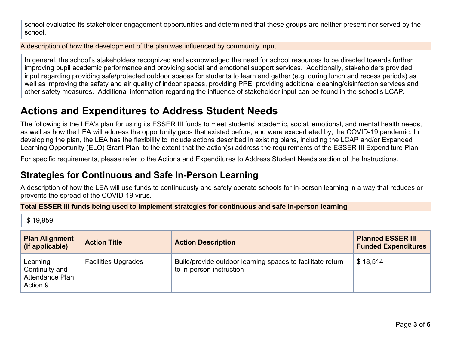school evaluated its stakeholder engagement opportunities and determined that these groups are neither present nor served by the school.

A description of how the development of the plan was influenced by community input.

In general, the school's stakeholders recognized and acknowledged the need for school resources to be directed towards further improving pupil academic performance and providing social and emotional support services. Additionally, stakeholders provided input regarding providing safe/protected outdoor spaces for students to learn and gather (e.g. during lunch and recess periods) as well as improving the safety and air quality of indoor spaces, providing PPE, providing additional cleaning/disinfection services and other safety measures. Additional information regarding the influence of stakeholder input can be found in the school's LCAP.

## **Actions and Expenditures to Address Student Needs**

The following is the LEA's plan for using its ESSER III funds to meet students' academic, social, emotional, and mental health needs, as well as how the LEA will address the opportunity gaps that existed before, and were exacerbated by, the COVID-19 pandemic. In developing the plan, the LEA has the flexibility to include actions described in existing plans, including the LCAP and/or Expanded Learning Opportunity (ELO) Grant Plan, to the extent that the action(s) address the requirements of the ESSER III Expenditure Plan.

For specific requirements, please refer to the Actions and Expenditures to Address Student Needs section of the Instructions.

### **Strategies for Continuous and Safe In-Person Learning**

A description of how the LEA will use funds to continuously and safely operate schools for in-person learning in a way that reduces or prevents the spread of the COVID-19 virus.

#### **Total ESSER III funds being used to implement strategies for continuous and safe in-person learning**

\$ 19,959

| <b>Plan Alignment</b><br>(if applicable)                   | <b>Action Title</b>        | <b>Action Description</b>                                                              | <b>Planned ESSER III</b><br><b>Funded Expenditures</b> |
|------------------------------------------------------------|----------------------------|----------------------------------------------------------------------------------------|--------------------------------------------------------|
| Learning<br>Continuity and<br>Attendance Plan:<br>Action 9 | <b>Facilities Upgrades</b> | Build/provide outdoor learning spaces to facilitate return<br>to in-person instruction | \$18,514                                               |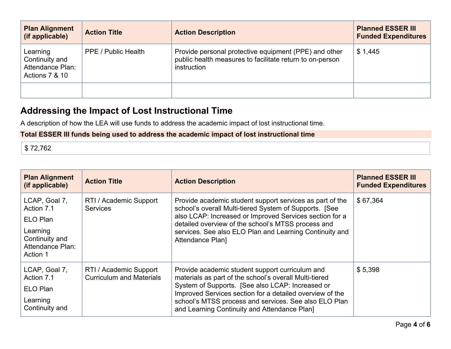| <b>Plan Alignment</b><br>(if applicable)                         | <b>Action Title</b> | <b>Action Description</b>                                                                                                        | <b>Planned ESSER III</b><br><b>Funded Expenditures</b> |
|------------------------------------------------------------------|---------------------|----------------------------------------------------------------------------------------------------------------------------------|--------------------------------------------------------|
| Learning<br>Continuity and<br>Attendance Plan:<br>Actions 7 & 10 | PPE / Public Health | Provide personal protective equipment (PPE) and other<br>public health measures to facilitate return to on-person<br>instruction | \$1,445                                                |
|                                                                  |                     |                                                                                                                                  |                                                        |

### **Addressing the Impact of Lost Instructional Time**

A description of how the LEA will use funds to address the academic impact of lost instructional time.

### **Total ESSER III funds being used to address the academic impact of lost instructional time**

\$ 72,762

| <b>Plan Alignment</b><br>(if applicable)                                                              | <b>Action Title</b>                                       | <b>Action Description</b>                                                                                                                                                                                                                                                                                                          | <b>Planned ESSER III</b><br><b>Funded Expenditures</b> |
|-------------------------------------------------------------------------------------------------------|-----------------------------------------------------------|------------------------------------------------------------------------------------------------------------------------------------------------------------------------------------------------------------------------------------------------------------------------------------------------------------------------------------|--------------------------------------------------------|
| LCAP, Goal 7,<br>Action 7.1<br>ELO Plan<br>Learning<br>Continuity and<br>Attendance Plan:<br>Action 1 | RTI / Academic Support<br><b>Services</b>                 | Provide academic student support services as part of the<br>school's overall Multi-tiered System of Supports. [See<br>also LCAP: Increased or Improved Services section for a<br>detailed overview of the school's MTSS process and<br>services. See also ELO Plan and Learning Continuity and<br><b>Attendance Plan]</b>          | \$67,364                                               |
| LCAP, Goal 7,<br>Action 7.1<br>ELO Plan<br>Learning<br>Continuity and                                 | RTI / Academic Support<br><b>Curriculum and Materials</b> | Provide academic student support curriculum and<br>materials as part of the school's overall Multi-tiered<br>System of Supports. [See also LCAP: Increased or<br>Improved Services section for a detailed overview of the<br>school's MTSS process and services. See also ELO Plan<br>and Learning Continuity and Attendance Plan] | \$5,398                                                |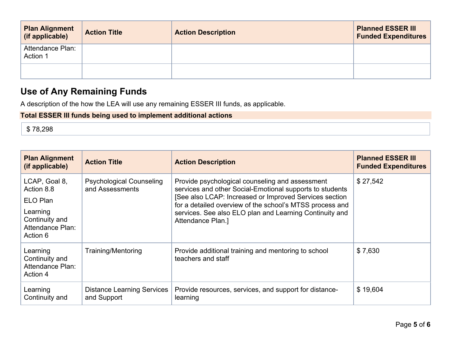| <b>Plan Alignment</b><br>(if applicable) | <b>Action Title</b> | <b>Action Description</b> | <b>Planned ESSER III</b><br><b>Funded Expenditures</b> |
|------------------------------------------|---------------------|---------------------------|--------------------------------------------------------|
| Attendance Plan:<br>Action 1             |                     |                           |                                                        |
|                                          |                     |                           |                                                        |

### **Use of Any Remaining Funds**

A description of the how the LEA will use any remaining ESSER III funds, as applicable.

### **Total ESSER III funds being used to implement additional actions**

\$ 78,298

| <b>Plan Alignment</b><br>(if applicable)                   | <b>Action Title</b>                                | <b>Action Description</b>                                                                                                                                                                                                         | <b>Planned ESSER III</b><br><b>Funded Expenditures</b> |
|------------------------------------------------------------|----------------------------------------------------|-----------------------------------------------------------------------------------------------------------------------------------------------------------------------------------------------------------------------------------|--------------------------------------------------------|
| LCAP, Goal 8,<br>Action 8.8<br>ELO Plan                    | <b>Psychological Counseling</b><br>and Assessments | Provide psychological counseling and assessment<br>services and other Social-Emotional supports to students<br>[See also LCAP: Increased or Improved Services section<br>for a detailed overview of the school's MTSS process and | \$27,542                                               |
| Learning<br>Continuity and<br>Attendance Plan:<br>Action 6 |                                                    | services. See also ELO plan and Learning Continuity and<br>Attendance Plan.]                                                                                                                                                      |                                                        |
| Learning<br>Continuity and<br>Attendance Plan:<br>Action 4 | <b>Training/Mentoring</b>                          | Provide additional training and mentoring to school<br>teachers and staff                                                                                                                                                         | \$7,630                                                |
| Learning<br>Continuity and                                 | <b>Distance Learning Services</b><br>and Support   | Provide resources, services, and support for distance-<br>learning                                                                                                                                                                | \$19,604                                               |